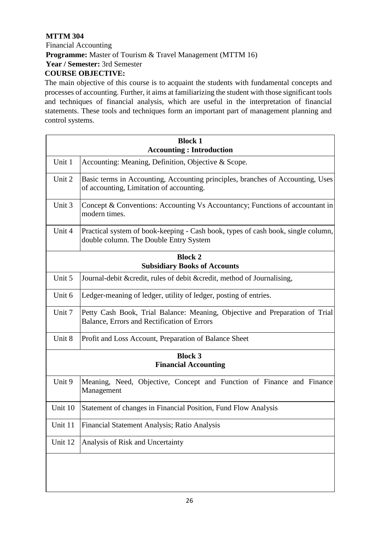## **MTTM 304**

Financial Accounting **Programme:** Master of Tourism & Travel Management (MTTM 16) **Year / Semester:** 3rd Semester **COURSE OBJECTIVE:** 

The main objective of this course is to acquaint the students with fundamental concepts and processes of accounting. Further, it aims at familiarizing the student with those significant tools and techniques of financial analysis, which are useful in the interpretation of financial statements. These tools and techniques form an important part of management planning and control systems.

| <b>Block 1</b><br><b>Accounting: Introduction</b>     |                                                                                                                            |  |
|-------------------------------------------------------|----------------------------------------------------------------------------------------------------------------------------|--|
| Unit 1                                                | Accounting: Meaning, Definition, Objective & Scope.                                                                        |  |
| Unit 2                                                | Basic terms in Accounting, Accounting principles, branches of Accounting, Uses<br>of accounting, Limitation of accounting. |  |
| Unit 3                                                | Concept & Conventions: Accounting Vs Accountancy; Functions of accountant in<br>modern times.                              |  |
| Unit 4                                                | Practical system of book-keeping - Cash book, types of cash book, single column,<br>double column. The Double Entry System |  |
| <b>Block 2</b><br><b>Subsidiary Books of Accounts</b> |                                                                                                                            |  |
| Unit 5                                                | Journal-debit &credit, rules of debit &credit, method of Journalising,                                                     |  |
| Unit 6                                                | Ledger-meaning of ledger, utility of ledger, posting of entries.                                                           |  |
| Unit 7                                                | Petty Cash Book, Trial Balance: Meaning, Objective and Preparation of Trial<br>Balance, Errors and Rectification of Errors |  |
| Unit 8                                                | Profit and Loss Account, Preparation of Balance Sheet                                                                      |  |
| <b>Block 3</b><br><b>Financial Accounting</b>         |                                                                                                                            |  |
| Unit 9                                                | Meaning, Need, Objective, Concept and Function of Finance and Finance<br>Management                                        |  |
| Unit 10                                               | Statement of changes in Financial Position, Fund Flow Analysis                                                             |  |
| Unit 11                                               | Financial Statement Analysis; Ratio Analysis                                                                               |  |
| Unit 12                                               | Analysis of Risk and Uncertainty                                                                                           |  |
|                                                       |                                                                                                                            |  |